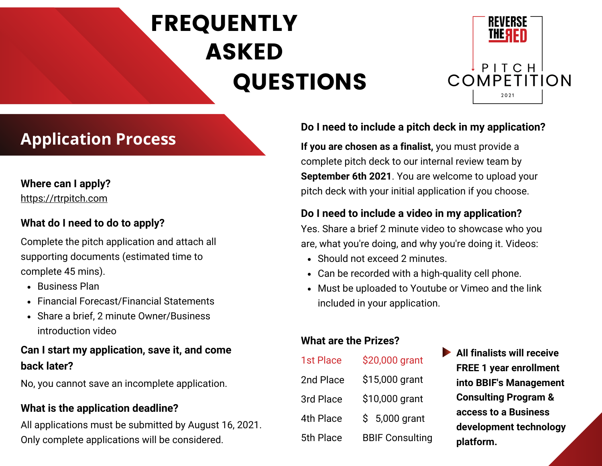# FREQUENTLY ASKED QUESTIONS



## **Application Process If you are chosen as a finalist**, you must provide a

## **Where can I apply?**

[https://rtrpitch.com](https://rtrpitch.com/)

## **What do I need to do to apply?**

Complete the pitch application and attach all supporting documents (estimated time to complete 45 mins).

- Business Plan
- Financial Forecast/Financial Statements
- Share a brief, 2 minute Owner/Business introduction video

## **Can I start my application, save it, and come back later?**

No, you cannot save an incomplete application.

## **What is the application deadline?**

All applications must be submitted by August 16, 2021. Only complete applications will be considered.

## **Do I need to include a pitch deck in my application?**

complete pitch deck to our internal review team by **September 6th 2021**. You are welcome to upload your pitch deck with your initial application if you choose.

## **Do I need to include a video in my application?**

Yes. Share a brief 2 minute video to showcase who you are, what you're doing, and why you're doing it. Videos:

- Should not exceed 2 minutes.
- Can be recorded with a high-quality cell phone.
- Must be uploaded to Youtube or Vimeo and the link included in your application.

## **What are the Prizes?**

| 1st Place | \$20,000 grant         |
|-----------|------------------------|
| 2nd Place | \$15,000 grant         |
| 3rd Place | \$10,000 grant         |
| 4th Place | $$5,000$ grant         |
| 5th Place | <b>BBIF Consulting</b> |

**All finalists will receive FREE 1 year enrollment into BBIF's Management Consulting Program & access to a Business development technology platform.**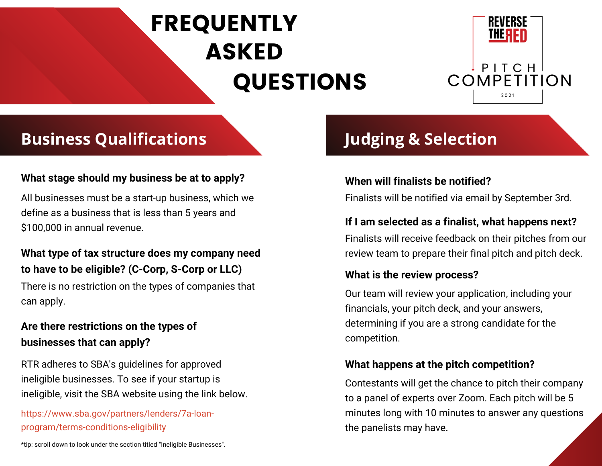# FREQUENTLY ASKED QUESTIONS



## **Business Qualifications**

## **What stage should my business be at to apply? When will finalists be notified?**

All businesses must be a start-up business, which we define as a business that is less than 5 years and \$100,000 in annual revenue.

## **What type of tax structure does my company need to have to be eligible? (C-Corp, S-Corp or LLC)**

There is no restriction on the types of companies that can apply.

## **Are there restrictions on the types of businesses that can apply?**

RTR adheres to SBA's guidelines for approved ineligible businesses. To see if your startup is ineligible, visit the SBA website using the link below.

## https://www.sba.gov/partners/lenders/7a-loanprogram/terms-conditions-eligibility

\*tip: scroll down to look under the section titled "Ineligible Businesses".

## **Judging & Selection**

Finalists will be notified via email by September 3rd.

## **If I am selected as a finalist, what happens next?**

Finalists will receive feedback on their pitches from our review team to prepare their final pitch and pitch deck.

## **What is the review process?**

Our team will review your application, including your financials, your pitch deck, and your answers, determining if you are a strong candidate for the competition.

## **What happens at the pitch competition?**

Contestants will get the chance to pitch their company to a panel of experts over Zoom. Each pitch will be 5 minutes long with 10 minutes to answer any questions the panelists may have.